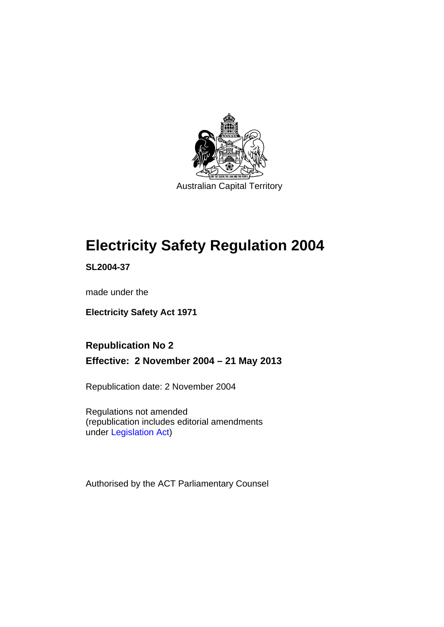

Australian Capital Territory

# **Electricity Safety Regulation 2004**

**SL2004-37** 

made under the

**Electricity Safety Act 1971** 

**Republication No 2 Effective: 2 November 2004 – 21 May 2013** 

Republication date: 2 November 2004

Regulations not amended (republication includes editorial amendments under [Legislation Act](http://www.legislation.act.gov.au/a/2001-14))

Authorised by the ACT Parliamentary Counsel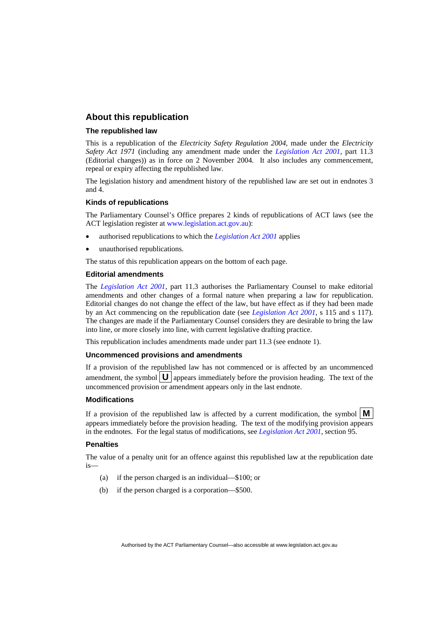## **About this republication**

## **The republished law**

This is a republication of the *Electricity Safety Regulation 2004*, made under the *Electricity Safety Act 1971* (including any amendment made under the *[Legislation Act 2001](http://www.legislation.act.gov.au/a/2001-14)*, part 11.3 (Editorial changes)) as in force on 2 November 2004*.* It also includes any commencement, repeal or expiry affecting the republished law.

The legislation history and amendment history of the republished law are set out in endnotes 3 and 4.

## **Kinds of republications**

The Parliamentary Counsel's Office prepares 2 kinds of republications of ACT laws (see the ACT legislation register at [www.legislation.act.gov.au](http://www.legislation.act.gov.au/)):

- authorised republications to which the *[Legislation Act 2001](http://www.legislation.act.gov.au/a/2001-14)* applies
- unauthorised republications.

The status of this republication appears on the bottom of each page.

## **Editorial amendments**

The *[Legislation Act 2001](http://www.legislation.act.gov.au/a/2001-14)*, part 11.3 authorises the Parliamentary Counsel to make editorial amendments and other changes of a formal nature when preparing a law for republication. Editorial changes do not change the effect of the law, but have effect as if they had been made by an Act commencing on the republication date (see *[Legislation Act 2001](http://www.legislation.act.gov.au/a/2001-14)*, s 115 and s 117). The changes are made if the Parliamentary Counsel considers they are desirable to bring the law into line, or more closely into line, with current legislative drafting practice.

This republication includes amendments made under part 11.3 (see endnote 1).

### **Uncommenced provisions and amendments**

If a provision of the republished law has not commenced or is affected by an uncommenced amendment, the symbol  $\mathbf{U}$  appears immediately before the provision heading. The text of the uncommenced provision or amendment appears only in the last endnote.

## **Modifications**

If a provision of the republished law is affected by a current modification, the symbol  $\mathbf{M}$ appears immediately before the provision heading. The text of the modifying provision appears in the endnotes. For the legal status of modifications, see *[Legislation Act 2001](http://www.legislation.act.gov.au/a/2001-14)*, section 95.

## **Penalties**

The value of a penalty unit for an offence against this republished law at the republication date is—

- (a) if the person charged is an individual—\$100; or
- (b) if the person charged is a corporation—\$500.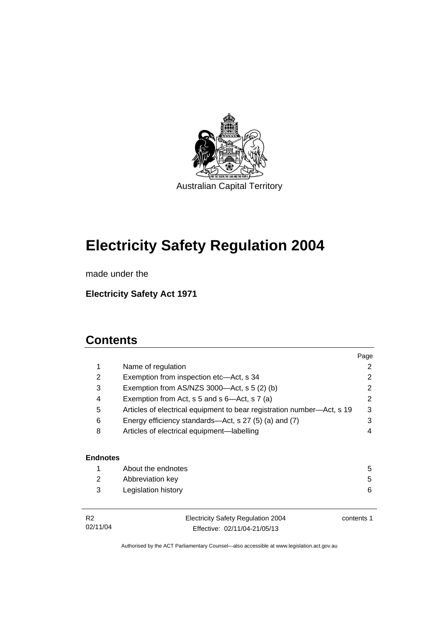

# **Electricity Safety Regulation 2004**

made under the

**Electricity Safety Act 1971** 

# **Contents**

|                 |                                                                        | Page       |
|-----------------|------------------------------------------------------------------------|------------|
| 1               | Name of regulation                                                     | 2          |
| 2               | Exemption from inspection etc—Act, s 34                                | 2          |
| 3               | Exemption from $AS/NZS$ 3000—Act, s 5 (2) (b)                          | 2          |
| 4               | Exemption from Act, s 5 and s 6-Act, s 7 (a)                           | 2          |
| 5               | Articles of electrical equipment to bear registration number—Act, s 19 | 3          |
| 6               | Energy efficiency standards—Act, s 27 (5) (a) and (7)                  | 3          |
| 8               | Articles of electrical equipment-labelling                             | 4          |
|                 |                                                                        |            |
| <b>Endnotes</b> |                                                                        |            |
| 1               | About the endnotes                                                     | 5          |
| 2               | Abbreviation key                                                       | 5          |
| 3               | Legislation history                                                    | 6          |
| R <sub>2</sub>  | <b>Electricity Safety Regulation 2004</b>                              | contents 1 |

02/11/04

Electricity Safety Regulation 2004 Effective: 02/11/04-21/05/13

contents 1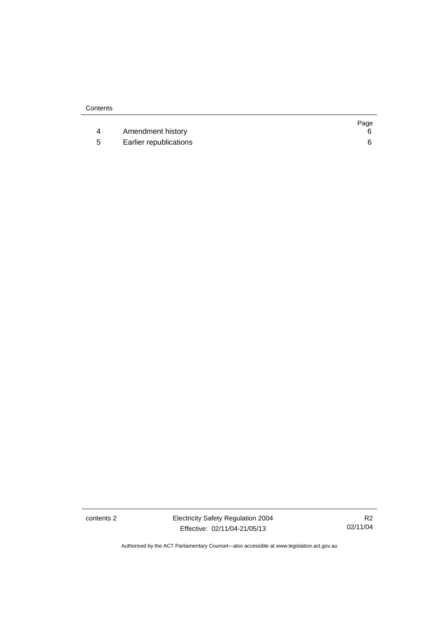|   |                        | Page |
|---|------------------------|------|
|   | Amendment history      |      |
| 5 | Earlier republications |      |

contents 2 Electricity Safety Regulation 2004 Effective: 02/11/04-21/05/13

R2 02/11/04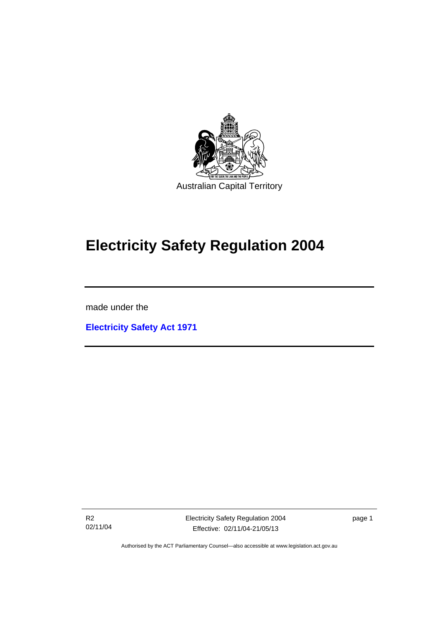

# **Electricity Safety Regulation 2004**

made under the

Ī

**[Electricity Safety Act 1971](http://www.legislation.act.gov.au/a/1971-30)**

R2 02/11/04 Electricity Safety Regulation 2004 Effective: 02/11/04-21/05/13

page 1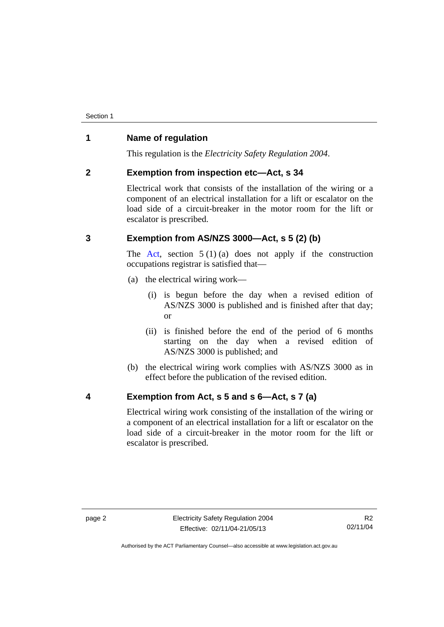# **1 Name of regulation**

This regulation is the *Electricity Safety Regulation 2004*.

# **2 Exemption from inspection etc—Act, s 34**

Electrical work that consists of the installation of the wiring or a component of an electrical installation for a lift or escalator on the load side of a circuit-breaker in the motor room for the lift or escalator is prescribed.

# **3 Exemption from AS/NZS 3000—Act, s 5 (2) (b)**

The [Act](http://www.legislation.act.gov.au/a/1971-30/default.asp), section  $5(1)(a)$  does not apply if the construction occupations registrar is satisfied that—

- (a) the electrical wiring work—
	- (i) is begun before the day when a revised edition of AS/NZS 3000 is published and is finished after that day; or
	- (ii) is finished before the end of the period of 6 months starting on the day when a revised edition of AS/NZS 3000 is published; and
- (b) the electrical wiring work complies with AS/NZS 3000 as in effect before the publication of the revised edition.

# **4 Exemption from Act, s 5 and s 6—Act, s 7 (a)**

Electrical wiring work consisting of the installation of the wiring or a component of an electrical installation for a lift or escalator on the load side of a circuit-breaker in the motor room for the lift or escalator is prescribed.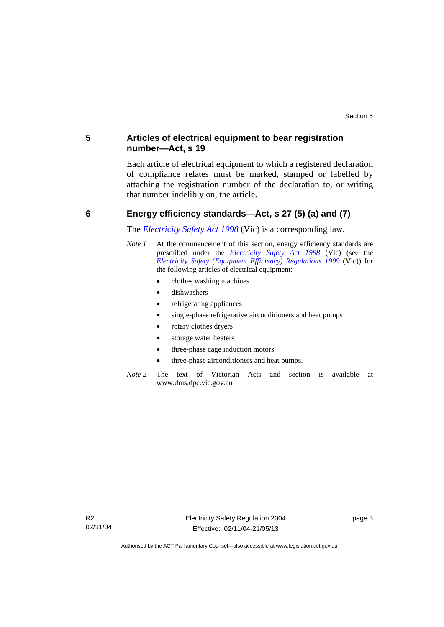# **5 Articles of electrical equipment to bear registration number—Act, s 19**

Each article of electrical equipment to which a registered declaration of compliance relates must be marked, stamped or labelled by attaching the registration number of the declaration to, or writing that number indelibly on, the article.

## **6 Energy efficiency standards—Act, s 27 (5) (a) and (7)**

The *[Electricity Safety Act 1998](http://www.legislation.vic.gov.au/)* (Vic) is a corresponding law.

- *Note 1* At the commencement of this section, energy efficiency standards are prescribed under the *[Electricity Safety Act 1998](http://www.legislation.vic.gov.au/)* (Vic) (see the *[Electricity Safety \(Equipment Efficiency\) Regulations 1999](http://www.legislation.vic.gov.au/)* (Vic)) for the following articles of electrical equipment:
	- clothes washing machines
	- dishwashers
	- refrigerating appliances
	- single-phase refrigerative airconditioners and heat pumps
	- rotary clothes dryers
	- storage water heaters
	- three-phase cage induction motors
	- three-phase airconditioners and heat pumps.
- *Note 2* The text of Victorian Acts and section is available at www.dms.dpc.vic.gov.au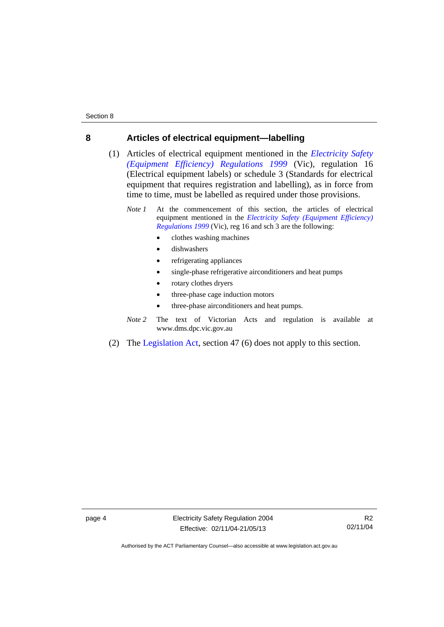## **8 Articles of electrical equipment—labelling**

- (1) Articles of electrical equipment mentioned in the *[Electricity Safety](http://www.legislation.vic.gov.au/)  [\(Equipment Efficiency\) Regulations 1999](http://www.legislation.vic.gov.au/)* (Vic), regulation 16 (Electrical equipment labels) or schedule 3 (Standards for electrical equipment that requires registration and labelling), as in force from time to time, must be labelled as required under those provisions.
	- *Note 1* At the commencement of this section, the articles of electrical equipment mentioned in the *[Electricity Safety \(Equipment Efficiency\)](http://www.legislation.vic.gov.au/)  [Regulations 1999](http://www.legislation.vic.gov.au/)* (Vic), reg 16 and sch 3 are the following:
		- clothes washing machines
		- dishwashers
		- refrigerating appliances
		- single-phase refrigerative airconditioners and heat pumps
		- rotary clothes dryers
		- three-phase cage induction motors
		- three-phase airconditioners and heat pumps.
	- *Note 2* The text of Victorian Acts and regulation is available at www.dms.dpc.vic.gov.au
- (2) The [Legislation Act](http://www.legislation.act.gov.au/a/2001-14), section 47 (6) does not apply to this section.

page 4 Electricity Safety Regulation 2004 Effective: 02/11/04-21/05/13

R2 02/11/04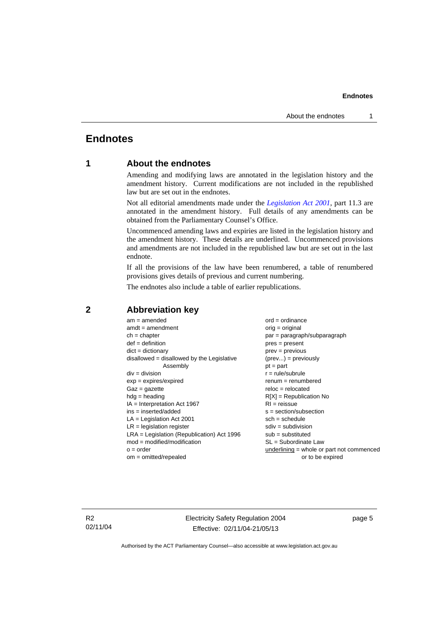### **Endnotes**

# **Endnotes**

# **1 About the endnotes**

Amending and modifying laws are annotated in the legislation history and the amendment history. Current modifications are not included in the republished law but are set out in the endnotes.

Not all editorial amendments made under the *[Legislation Act 2001](http://www.legislation.act.gov.au/a/2001-14)*, part 11.3 are annotated in the amendment history. Full details of any amendments can be obtained from the Parliamentary Counsel's Office.

Uncommenced amending laws and expiries are listed in the legislation history and the amendment history. These details are underlined. Uncommenced provisions and amendments are not included in the republished law but are set out in the last endnote.

If all the provisions of the law have been renumbered, a table of renumbered provisions gives details of previous and current numbering.

The endnotes also include a table of earlier republications.

| $am = amended$                               | $ord = ordinance$                         |  |
|----------------------------------------------|-------------------------------------------|--|
| $amdt = amendment$                           | $orig = original$                         |  |
| $ch = chapter$                               | par = paragraph/subparagraph              |  |
| $def = definition$                           | $pres = present$                          |  |
| $dict = dictionary$                          | $prev = previous$                         |  |
| disallowed = disallowed by the Legislative   | $(\text{prev}) = \text{previously}$       |  |
| Assembly                                     | $pt = part$                               |  |
| $div = division$                             | $r = rule/subrule$                        |  |
| $exp = expires/expired$                      | $remum = renumbered$                      |  |
| $Gaz = gazette$                              | $reloc = relocated$                       |  |
| $hdg =$ heading                              | $R[X]$ = Republication No                 |  |
| $IA = Interpretation Act 1967$               | $RI = reissue$                            |  |
| $ins = inserted/added$                       | $s = section/subsection$                  |  |
| $LA =$ Legislation Act 2001                  | $sch = schedule$                          |  |
| $LR =$ legislation register                  | $sdiv = subdivision$                      |  |
| $LRA =$ Legislation (Republication) Act 1996 | $sub =$ substituted                       |  |
| $mod = modified/modification$                | $SL = Subordinate$ Law                    |  |
| $o = order$                                  | underlining = whole or part not commenced |  |
| $om = omitted/repealed$                      | or to be expired                          |  |
|                                              |                                           |  |

# **2 Abbreviation key**

R2 02/11/04 Electricity Safety Regulation 2004 Effective: 02/11/04-21/05/13

page 5